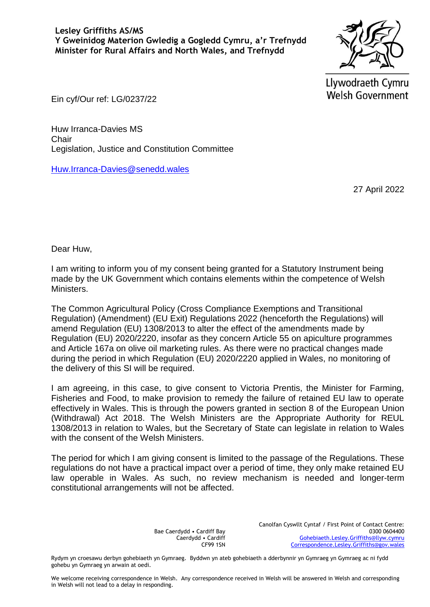

Llywodraeth Cymru **Welsh Government** 

Ein cyf/Our ref: LG/0237/22

Huw Irranca-Davies MS **Chair** Legislation, Justice and Constitution Committee

[Huw.Irranca-Davies@senedd.wales](mailto:Huw.Irranca-Davies@senedd.wales)

27 April 2022

Dear Huw,

I am writing to inform you of my consent being granted for a Statutory Instrument being made by the UK Government which contains elements within the competence of Welsh Ministers.

The Common Agricultural Policy (Cross Compliance Exemptions and Transitional Regulation) (Amendment) (EU Exit) Regulations 2022 (henceforth the Regulations) will amend Regulation (EU) 1308/2013 to alter the effect of the amendments made by Regulation (EU) 2020/2220, insofar as they concern Article 55 on apiculture programmes and Article 167a on olive oil marketing rules. As there were no practical changes made during the period in which Regulation (EU) 2020/2220 applied in Wales, no monitoring of the delivery of this SI will be required.

I am agreeing, in this case, to give consent to Victoria Prentis, the Minister for Farming, Fisheries and Food, to make provision to remedy the failure of retained EU law to operate effectively in Wales. This is through the powers granted in section 8 of the European Union (Withdrawal) Act 2018. The Welsh Ministers are the Appropriate Authority for REUL 1308/2013 in relation to Wales, but the Secretary of State can legislate in relation to Wales with the consent of the Welsh Ministers.

The period for which I am giving consent is limited to the passage of the Regulations. These regulations do not have a practical impact over a period of time, they only make retained EU law operable in Wales. As such, no review mechanism is needed and longer-term constitutional arrangements will not be affected.

> Bae Caerdydd • Cardiff Bay Caerdydd • Cardiff CF99 1SN

Canolfan Cyswllt Cyntaf / First Point of Contact Centre: 0300 0604400 [Gohebiaeth.Lesley.Griffiths@llyw.cymru](mailto:Gohebiaeth.Lesley.Griffiths@llyw.cymru) [Correspondence.Lesley.Griffiths@gov.wales](mailto:Correspondence.Lesley.Griffiths@gov.wales)

Rydym yn croesawu derbyn gohebiaeth yn Gymraeg. Byddwn yn ateb gohebiaeth a dderbynnir yn Gymraeg yn Gymraeg ac ni fydd gohebu yn Gymraeg yn arwain at oedi.